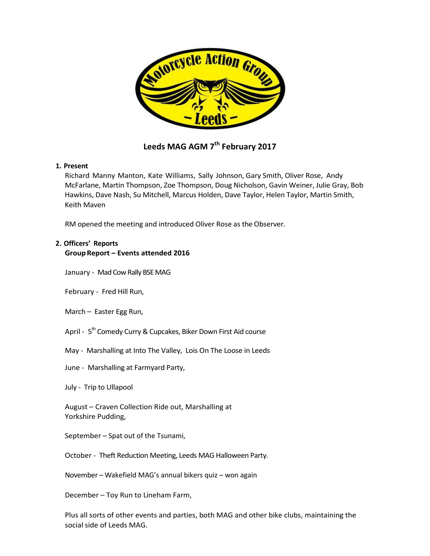

# **Leeds MAG AGM 7th February 2017**

### **1. Present**

Richard Manny Manton, Kate Williams, Sally Johnson, Gary Smith, Oliver Rose, Andy McFarlane, Martin Thompson, Zoe Thompson, Doug Nicholson, Gavin Weiner, Julie Gray, Bob Hawkins, Dave Nash, Su Mitchell, Marcus Holden, Dave Taylor, Helen Taylor, Martin Smith, Keith Maven

RM opened the meeting and introduced Oliver Rose as the Observer.

# **2. Officers' Reports**

### **GroupReport – Events attended 2016**

January - Mad Cow Rally BSE MAG

February - Fred Hill Run,

March – Easter Egg Run,

April - 5<sup>th</sup> Comedy Curry & Cupcakes, Biker Down First Aid course

May - Marshalling at Into The Valley, Lois On The Loose in Leeds

June - Marshalling at Farmyard Party,

July - Trip to Ullapool

August – Craven Collection Ride out, Marshalling at Yorkshire Pudding,

September – Spat out of the Tsunami,

October - Theft Reduction Meeting, Leeds MAG Halloween Party.

November – Wakefield MAG's annual bikers quiz – won again

December – Toy Run to Lineham Farm,

Plus all sorts of other events and parties, both MAG and other bike clubs, maintaining the social side of Leeds MAG.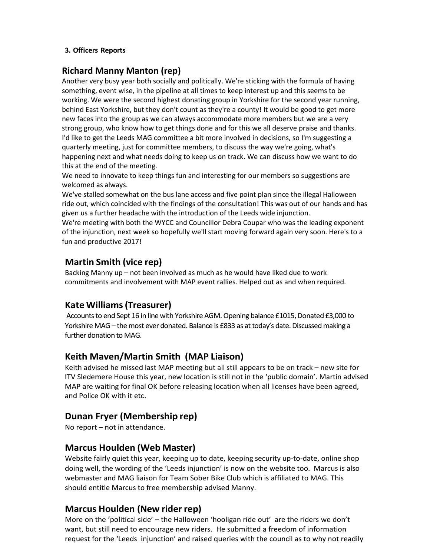### **3. Officers Reports**

## **Richard Manny Manton (rep)**

Another very busy year both socially and politically. We're sticking with the formula of having something, event wise, in the pipeline at all times to keep interest up and this seems to be working. We were the second highest donating group in Yorkshire for the second year running, behind East Yorkshire, but they don't count as they're a county! It would be good to get more new faces into the group as we can always accommodate more members but we are a very strong group, who know how to get things done and for this we all deserve praise and thanks. I'd like to get the Leeds MAG committee a bit more involved in decisions, so I'm suggesting a quarterly meeting, just for committee members, to discuss the way we're going, what's happening next and what needs doing to keep us on track. We can discuss how we want to do this at the end of the meeting.

We need to innovate to keep things fun and interesting for our members so suggestions are welcomed as always.

We've stalled somewhat on the bus lane access and five point plan since the illegal Halloween ride out, which coincided with the findings of the consultation! This was out of our hands and has given us a further headache with the introduction of the Leeds wide injunction.

We're meeting with both the WYCC and Councillor Debra Coupar who was the leading exponent of the injunction, next week so hopefully we'll start moving forward again very soon. Here's to a fun and productive 2017!

# **Martin Smith (vice rep)**

Backing Manny up – not been involved as much as he would have liked due to work commitments and involvement with MAP event rallies. Helped out as and when required.

# **Kate Williams(Treasurer)**

Accounts to end Sept 16 in line with Yorkshire AGM. Opening balance £1015, Donated £3,000 to Yorkshire MAG – the most ever donated. Balance is £833 as at today's date. Discussed making a further donation to MAG.

# **Keith Maven/Martin Smith (MAP Liaison)**

Keith advised he missed last MAP meeting but all still appears to be on track – new site for ITV Sledemere House this year, new location is still not in the 'public domain'. Martin advised MAP are waiting for final OK before releasing location when all licenses have been agreed, and Police OK with it etc.

# **Dunan Fryer (Membership rep)**

No report – not in attendance.

## **Marcus Houlden (Web Master)**

Website fairly quiet this year, keeping up to date, keeping security up-to-date, online shop doing well, the wording of the 'Leeds injunction' is now on the website too. Marcus is also webmaster and MAG liaison for Team Sober Bike Club which is affiliated to MAG. This should entitle Marcus to free membership advised Manny.

## **Marcus Houlden (New rider rep)**

More on the 'political side' – the Halloween 'hooligan ride out' are the riders we don't want, but still need to encourage new riders. He submitted a freedom of information request for the 'Leeds injunction' and raised queries with the council as to why not readily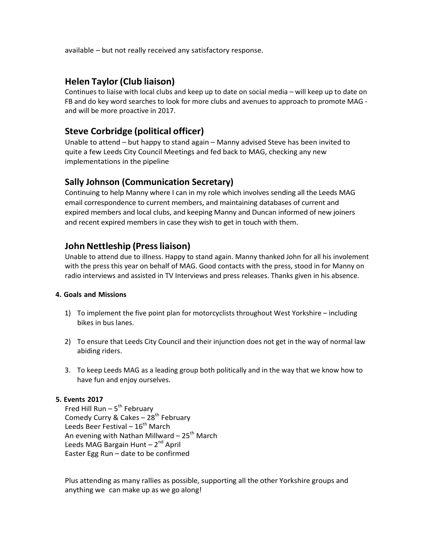available – but not really received any satisfactory response.

## **Helen Taylor(Club liaison)**

Continues to liaise with local clubs and keep up to date on social media – will keep up to date on FB and do key word searches to look for more clubs and avenues to approach to promote MAG and will be more proactive in 2017.

## **Steve Corbridge (political officer)**

Unable to attend – but happy to stand again – Manny advised Steve has been invited to quite a few Leeds City Council Meetings and fed back to MAG, checking any new implementations in the pipeline

### **Sally Johnson (Communication Secretary)**

Continuing to help Manny where I can in my role which involves sending all the Leeds MAG email correspondence to current members, and maintaining databases of current and expired members and local clubs, and keeping Manny and Duncan informed of new joiners and recent expired members in case they wish to get in touch with them.

### **John Nettleship (Press liaison)**

Unable to attend due to illness. Happy to stand again. Manny thanked John for all his involement with the press this year on behalf of MAG. Good contacts with the press, stood in for Manny on radio interviews and assisted in TV Interviews and press releases. Thanks given in his absence.

### **4. Goals and Missions**

- 1) To implement the five point plan for motorcyclists throughout West Yorkshire including bikes in bus lanes.
- 2) To ensure that Leeds City Council and their injunction does not get in the way of normal law abiding riders.
- 3. To keep Leeds MAG as a leading group both politically and in the way that we know how to have fun and enjoy ourselves.

#### **5. Events 2017**

Fred Hill Run  $-5^{th}$  February Comedy Curry & Cakes –  $28^{th}$  February Leeds Beer Festival –  $16^{th}$  March An evening with Nathan Millward –  $25<sup>th</sup>$  March Leeds MAG Bargain Hunt  $-2^{nd}$  April Easter Egg Run – date to be confirmed

Plus attending as many rallies as possible, supporting all the other Yorkshire groups and anything we can make up as we go along!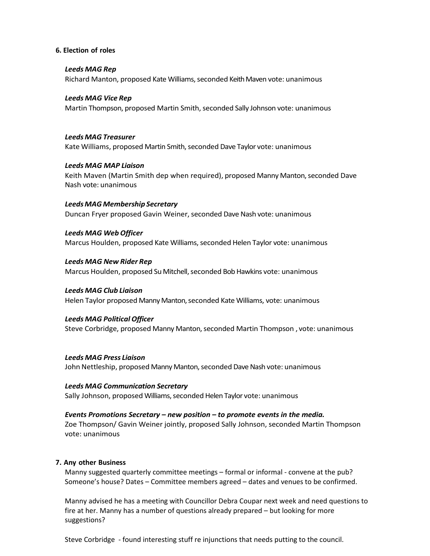#### **6. Election of roles**

#### *Leeds MAG Rep*

Richard Manton, proposed Kate Williams,seconded Keith Maven vote: unanimous

### *Leeds MAG Vice Rep*

Martin Thompson, proposed Martin Smith, seconded Sally Johnson vote: unanimous

#### *Leeds MAG Treasurer*

Kate Williams, proposed Martin Smith, seconded Dave Taylor vote: unanimous

#### *Leeds MAG MAP Liaison*

Keith Maven (Martin Smith dep when required), proposed Manny Manton, seconded Dave Nash vote: unanimous

*LeedsMAG Membership Secretary* Duncan Fryer proposed Gavin Weiner, seconded Dave Nash vote: unanimous

### *Leeds MAG WebOfficer*

Marcus Houlden, proposed Kate Williams, seconded Helen Taylor vote: unanimous

#### *Leeds MAG New Rider Rep*

Marcus Houlden, proposed Su Mitchell,seconded Bob Hawkins vote: unanimous

#### *Leeds MAG Club Liaison*

Helen Taylor proposed Manny Manton, seconded Kate Williams, vote: unanimous

### *Leeds MAG Political Officer*

Steve Corbridge, proposed Manny Manton,seconded Martin Thompson , vote: unanimous

*Leeds MAG Press Liaison* John Nettleship, proposed Manny Manton, seconded Dave Nash vote: unanimous

*Leeds MAG Communication Secretary* Sally Johnson, proposed Williams, seconded Helen Taylor vote: unanimous

#### *Events Promotions Secretary – new position – to promote events in the media.*

Zoe Thompson/ Gavin Weiner jointly, proposed Sally Johnson, seconded Martin Thompson vote: unanimous

### **7. Any other Business**

Manny suggested quarterly committee meetings – formal or informal - convene at the pub? Someone's house? Dates – Committee members agreed – dates and venues to be confirmed.

Manny advised he has a meeting with Councillor Debra Coupar next week and need questions to fire at her. Manny has a number of questions already prepared – but looking for more suggestions?

Steve Corbridge - found interesting stuff re injunctions that needs putting to the council.